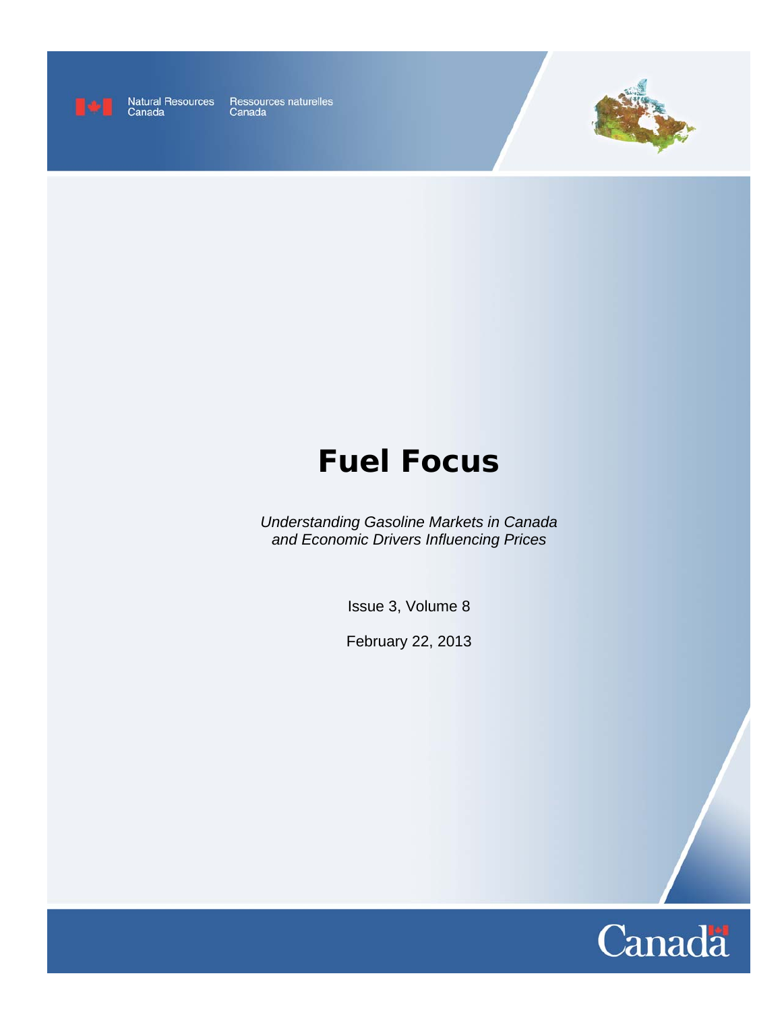

Natural Resources<br>Canada

Ressources naturelles<br>Canada



# **Fuel Focus**

*Understanding Gasoline Markets in Canada and Economic Drivers Influencing Prices* 

Issue 3, Volume 8

February 22, 2013

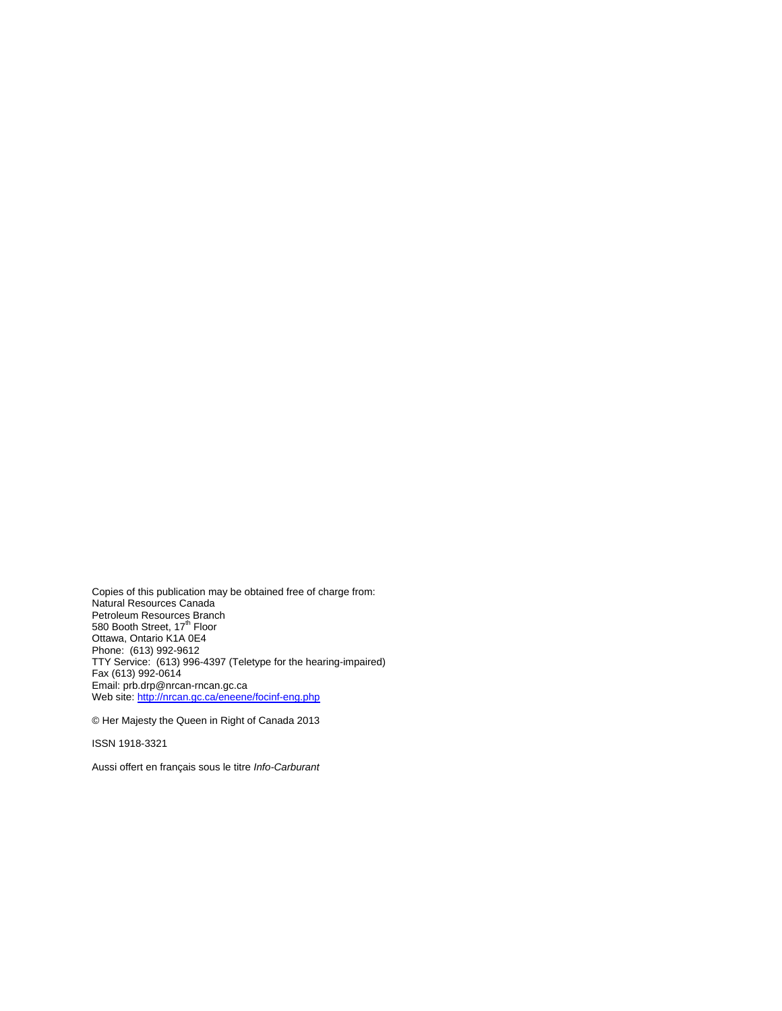Copies of this publication may be obtained free of charge from: Natural Resources Canada Petroleum Resources Branch<br>580 Booth Street, 17<sup>th</sup> Floor Ottawa, Ontario K1A 0E4 Phone: (613) 992-9612 TTY Service: (613) 996-4397 (Teletype for the hearing-impaired) Fax (613) 992-0614 Email: prb.drp@nrcan-rncan.gc.ca Web site: http://nrcan.gc.ca/eneene/focinf-eng.php

© Her Majesty the Queen in Right of Canada 2013

ISSN 1918-3321

Aussi offert en français sous le titre *Info-Carburant*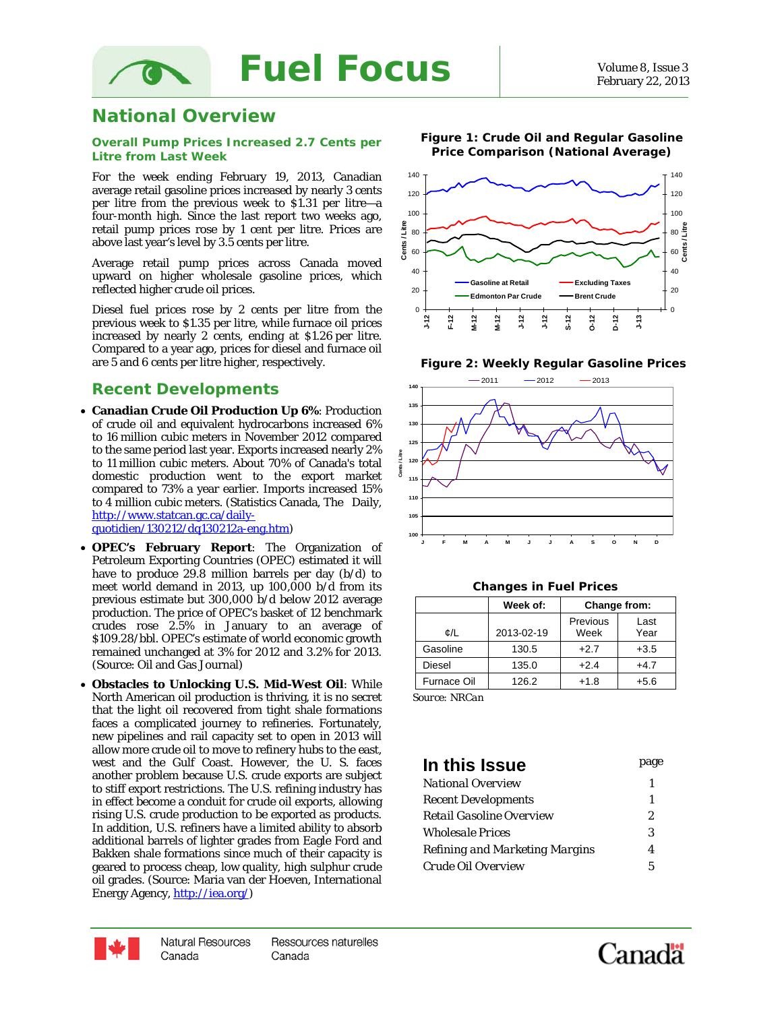

### **National Overview**

ໄ( )

#### **Overall Pump Prices Increased 2.7 Cents per Litre from Last Week**

For the week ending February 19, 2013, Canadian average retail gasoline prices increased by nearly 3 cents per litre from the previous week to \$1.31 per litre—a four-month high. Since the last report two weeks ago, retail pump prices rose by 1 cent per litre. Prices are above last year's level by 3.5 cents per litre.

Average retail pump prices across Canada moved upward on higher wholesale gasoline prices, which reflected higher crude oil prices.

Diesel fuel prices rose by 2 cents per litre from the previous week to \$1.35 per litre, while furnace oil prices increased by nearly 2 cents, ending at \$1.26 per litre. Compared to a year ago, prices for diesel and furnace oil are 5 and 6 cents per litre higher, respectively.

### *Recent Developments*

- **Canadian Crude Oil Production Up 6%**: Production of crude oil and equivalent hydrocarbons increased 6% to 16 million cubic meters in November 2012 compared to the same period last year. Exports increased nearly 2% to 11 million cubic meters. About 70% of Canada's total domestic production went to the export market compared to 73% a year earlier. Imports increased 15% to 4 million cubic meters. (Statistics Canada, The Daily, http://www.statcan.gc.ca/dailyquotidien/130212/dq130212a-eng.htm)
- **OPEC's February Report**: The Organization of Petroleum Exporting Countries (OPEC) estimated it will have to produce 29.8 million barrels per day (b/d) to meet world demand in 2013, up 100,000 b/d from its previous estimate but 300,000 b/d below 2012 average production. The price of OPEC's basket of 12 benchmark crudes rose 2.5% in January to an average of \$109.28/bbl. OPEC's estimate of world economic growth remained unchanged at 3% for 2012 and 3.2% for 2013. (Source: Oil and Gas Journal)
- **Obstacles to Unlocking U.S. Mid-West Oil**: While North American oil production is thriving, it is no secret that the light oil recovered from tight shale formations faces a complicated journey to refineries. Fortunately, new pipelines and rail capacity set to open in 2013 will allow more crude oil to move to refinery hubs to the east, west and the Gulf Coast. However, the U. S. faces another problem because U.S. crude exports are subject to stiff export restrictions. The U.S. refining industry has in effect become a conduit for crude oil exports, allowing rising U.S. crude production to be exported as products. In addition, U.S. refiners have a limited ability to absorb additional barrels of lighter grades from Eagle Ford and Bakken shale formations since much of their capacity is geared to process cheap, low quality, high sulphur crude oil grades. (Source: Maria van der Hoeven, International Energy Agency, http://iea.org/)



**Figure 2: Weekly Regular Gasoline Prices** 



| <b>Changes in Fuel Prices</b> |  |  |  |
|-------------------------------|--|--|--|
|-------------------------------|--|--|--|

|                    | Week of:   | Change from:     |              |  |
|--------------------|------------|------------------|--------------|--|
| ¢/L                | 2013-02-19 | Previous<br>Week | Last<br>Year |  |
| Gasoline           | 130.5      | $+2.7$           | $+3.5$       |  |
| Diesel             | 135.0      | $+2.4$           | $+4.7$       |  |
| <b>Furnace Oil</b> | 126.2      | $+1.8$           | $+5.6$       |  |
|                    |            |                  |              |  |

 *Source: NRCan* 

### **In this Issue** page *National Overview* 1 *Recent Developments* 1 *Retail Gasoline Overview* 2 *Wholesale Prices* 3 *Refining and Marketing Margins* 4 *Crude Oil Overview* 5



Ressources naturelles Canada



#### **Figure 1: Crude Oil and Regular Gasoline Price Comparison (National Average)**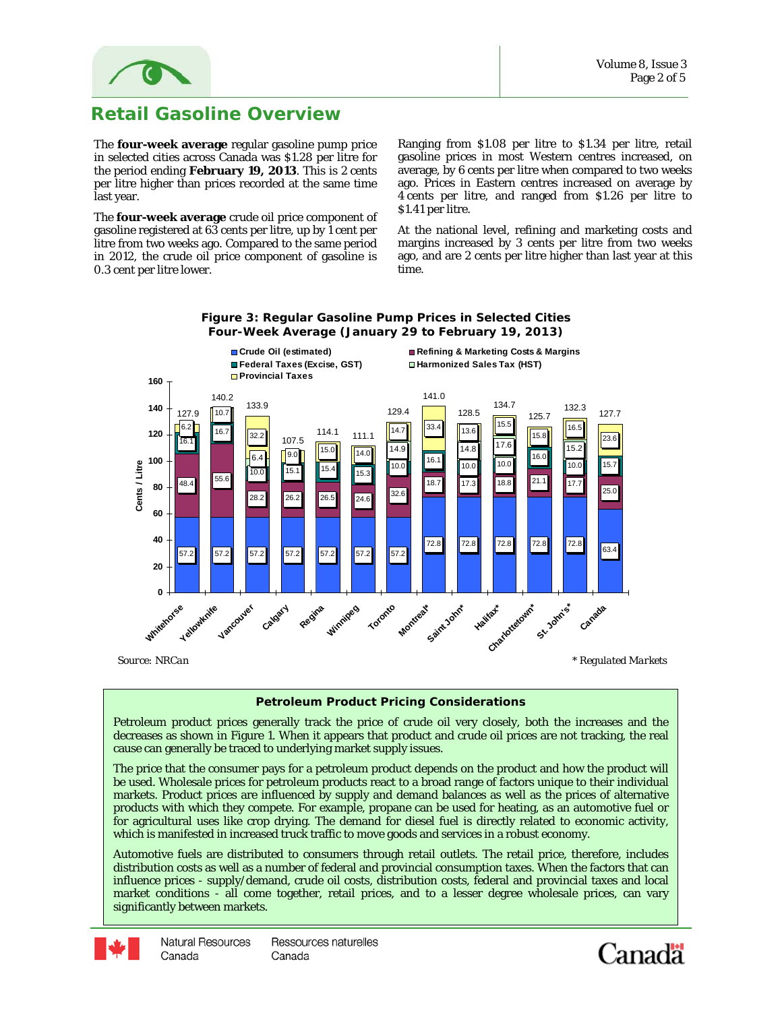

# **Retail Gasoline Overview**

The **four-week average** regular gasoline pump price in selected cities across Canada was \$1.28 per litre for the period ending **February 19, 2013**. This is 2 cents per litre higher than prices recorded at the same time last year.

The **four-week average** crude oil price component of gasoline registered at 63 cents per litre, up by 1 cent per litre from two weeks ago. Compared to the same period in 2012, the crude oil price component of gasoline is 0.3 cent per litre lower.

Ranging from \$1.08 per litre to \$1.34 per litre, retail gasoline prices in most Western centres increased, on average, by 6 cents per litre when compared to two weeks ago. Prices in Eastern centres increased on average by 4 cents per litre, and ranged from \$1.26 per litre to \$1.41 per litre.

At the national level, refining and marketing costs and margins increased by 3 cents per litre from two weeks ago, and are 2 cents per litre higher than last year at this time.



### **Figure 3: Regular Gasoline Pump Prices in Selected Cities Four-Week Average (January 29 to February 19, 2013)**

**Petroleum Product Pricing Considerations** 

Petroleum product prices generally track the price of crude oil very closely, both the increases and the decreases as shown in Figure 1. When it appears that product and crude oil prices are not tracking, the real cause can generally be traced to underlying market supply issues.

The price that the consumer pays for a petroleum product depends on the product and how the product will be used. Wholesale prices for petroleum products react to a broad range of factors unique to their individual markets. Product prices are influenced by supply and demand balances as well as the prices of alternative products with which they compete. For example, propane can be used for heating, as an automotive fuel or for agricultural uses like crop drying. The demand for diesel fuel is directly related to economic activity, which is manifested in increased truck traffic to move goods and services in a robust economy.

Automotive fuels are distributed to consumers through retail outlets. The retail price, therefore, includes distribution costs as well as a number of federal and provincial consumption taxes. When the factors that can influence prices - supply/demand, crude oil costs, distribution costs, federal and provincial taxes and local market conditions - all come together, retail prices, and to a lesser degree wholesale prices, can vary significantly between markets.



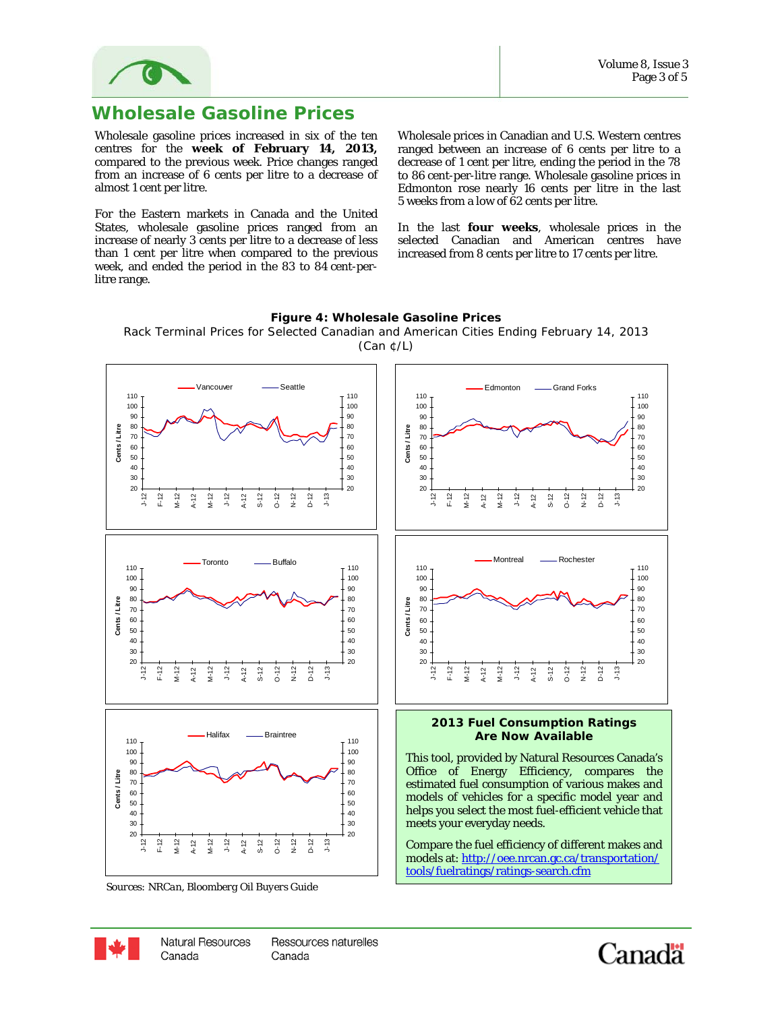

## **Wholesale Gasoline Prices**

Wholesale gasoline prices increased in six of the ten centres for the **week of February 14, 2013,** compared to the previous week. Price changes ranged from an increase of 6 cents per litre to a decrease of almost 1 cent per litre.

For the Eastern markets in Canada and the United States, wholesale gasoline prices ranged from an increase of nearly 3 cents per litre to a decrease of less than 1 cent per litre when compared to the previous week, and ended the period in the 83 to 84 cent-perlitre range.

Wholesale prices in Canadian and U.S. Western centres ranged between an increase of 6 cents per litre to a decrease of 1 cent per litre, ending the period in the 78 to 86 cent-per-litre range. Wholesale gasoline prices in Edmonton rose nearly 16 cents per litre in the last 5 weeks from a low of 62 cents per litre.

In the last **four weeks**, wholesale prices in the selected Canadian and American centres have increased from 8 cents per litre to 17 cents per litre.



**Figure 4: Wholesale Gasoline Prices** 

*Sources: NRCan, Bloomberg Oil Buyers Guide* 



Canada

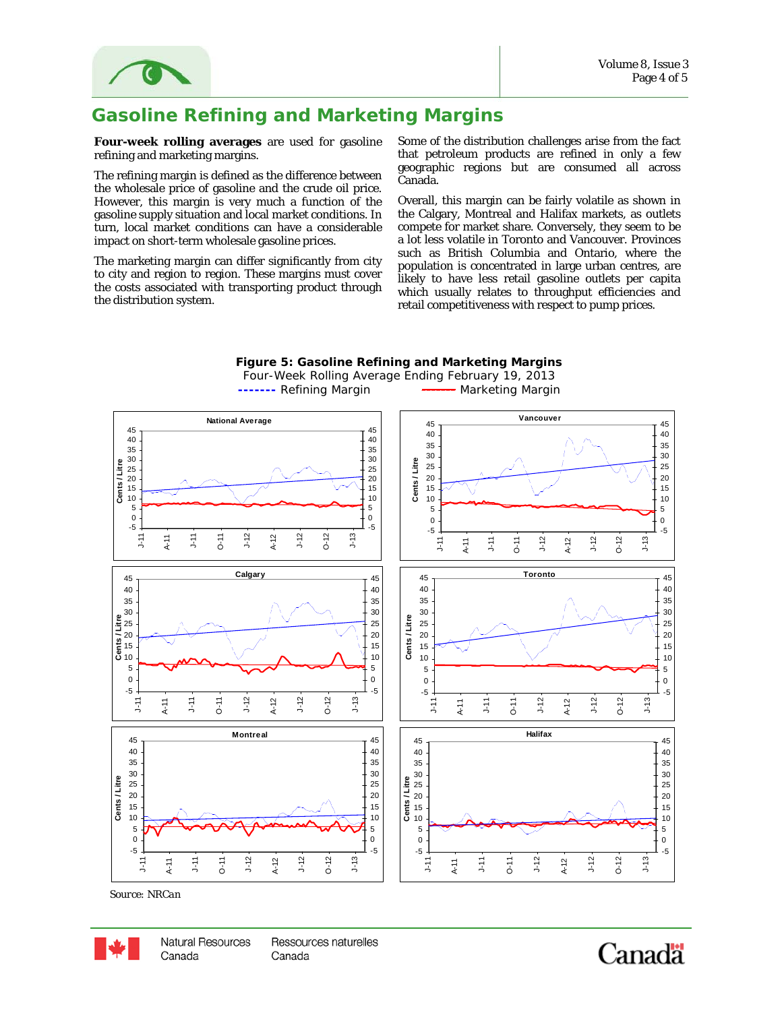

# **Gasoline Refining and Marketing Margins**

**Four-week rolling averages** are used for gasoline refining and marketing margins.

The refining margin is defined as the difference between the wholesale price of gasoline and the crude oil price. However, this margin is very much a function of the gasoline supply situation and local market conditions. In turn, local market conditions can have a considerable impact on short-term wholesale gasoline prices.

The marketing margin can differ significantly from city to city and region to region. These margins must cover the costs associated with transporting product through the distribution system.

Some of the distribution challenges arise from the fact that petroleum products are refined in only a few geographic regions but are consumed all across Canada.

Overall, this margin can be fairly volatile as shown in the Calgary, Montreal and Halifax markets, as outlets compete for market share. Conversely, they seem to be a lot less volatile in Toronto and Vancouver. Provinces such as British Columbia and Ontario, where the population is concentrated in large urban centres, are likely to have less retail gasoline outlets per capita which usually relates to throughput efficiencies and retail competitiveness with respect to pump prices.



**Figure 5: Gasoline Refining and Marketing Margins** 

*Source: NRCan*